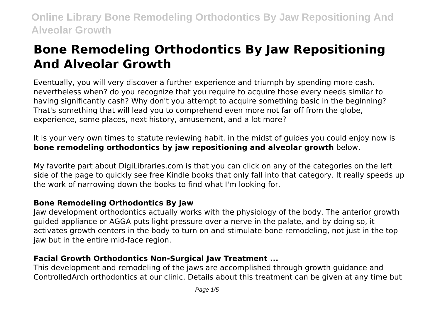# **Bone Remodeling Orthodontics By Jaw Repositioning And Alveolar Growth**

Eventually, you will very discover a further experience and triumph by spending more cash. nevertheless when? do you recognize that you require to acquire those every needs similar to having significantly cash? Why don't you attempt to acquire something basic in the beginning? That's something that will lead you to comprehend even more not far off from the globe, experience, some places, next history, amusement, and a lot more?

It is your very own times to statute reviewing habit. in the midst of guides you could enjoy now is **bone remodeling orthodontics by jaw repositioning and alveolar growth** below.

My favorite part about DigiLibraries.com is that you can click on any of the categories on the left side of the page to quickly see free Kindle books that only fall into that category. It really speeds up the work of narrowing down the books to find what I'm looking for.

# **Bone Remodeling Orthodontics By Jaw**

Jaw development orthodontics actually works with the physiology of the body. The anterior growth guided appliance or AGGA puts light pressure over a nerve in the palate, and by doing so, it activates growth centers in the body to turn on and stimulate bone remodeling, not just in the top jaw but in the entire mid-face region.

# **Facial Growth Orthodontics Non-Surgical Jaw Treatment ...**

This development and remodeling of the jaws are accomplished through growth guidance and ControlledArch orthodontics at our clinic. Details about this treatment can be given at any time but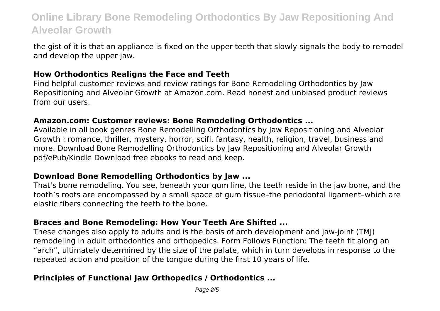the gist of it is that an appliance is fixed on the upper teeth that slowly signals the body to remodel and develop the upper jaw.

#### **How Orthodontics Realigns the Face and Teeth**

Find helpful customer reviews and review ratings for Bone Remodeling Orthodontics by Jaw Repositioning and Alveolar Growth at Amazon.com. Read honest and unbiased product reviews from our users.

#### **Amazon.com: Customer reviews: Bone Remodeling Orthodontics ...**

Available in all book genres Bone Remodelling Orthodontics by Jaw Repositioning and Alveolar Growth : romance, thriller, mystery, horror, scifi, fantasy, health, religion, travel, business and more. Download Bone Remodelling Orthodontics by Jaw Repositioning and Alveolar Growth pdf/ePub/Kindle Download free ebooks to read and keep.

#### **Download Bone Remodelling Orthodontics by Jaw ...**

That's bone remodeling. You see, beneath your gum line, the teeth reside in the jaw bone, and the tooth's roots are encompassed by a small space of gum tissue–the periodontal ligament–which are elastic fibers connecting the teeth to the bone.

#### **Braces and Bone Remodeling: How Your Teeth Are Shifted ...**

These changes also apply to adults and is the basis of arch development and jaw-joint (TMJ) remodeling in adult orthodontics and orthopedics. Form Follows Function: The teeth fit along an "arch", ultimately determined by the size of the palate, which in turn develops in response to the repeated action and position of the tongue during the first 10 years of life.

### **Principles of Functional Jaw Orthopedics / Orthodontics ...**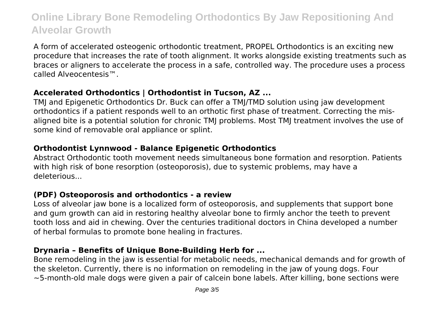A form of accelerated osteogenic orthodontic treatment, PROPEL Orthodontics is an exciting new procedure that increases the rate of tooth alignment. It works alongside existing treatments such as braces or aligners to accelerate the process in a safe, controlled way. The procedure uses a process called Alveocentesis™.

### **Accelerated Orthodontics | Orthodontist in Tucson, AZ ...**

TMJ and Epigenetic Orthodontics Dr. Buck can offer a TMJ/TMD solution using jaw development orthodontics if a patient responds well to an orthotic first phase of treatment. Correcting the misaligned bite is a potential solution for chronic TMJ problems. Most TMJ treatment involves the use of some kind of removable oral appliance or splint.

# **Orthodontist Lynnwood - Balance Epigenetic Orthodontics**

Abstract Orthodontic tooth movement needs simultaneous bone formation and resorption. Patients with high risk of bone resorption (osteoporosis), due to systemic problems, may have a deleterious...

### **(PDF) Osteoporosis and orthodontics - a review**

Loss of alveolar jaw bone is a localized form of osteoporosis, and supplements that support bone and gum growth can aid in restoring healthy alveolar bone to firmly anchor the teeth to prevent tooth loss and aid in chewing. Over the centuries traditional doctors in China developed a number of herbal formulas to promote bone healing in fractures.

# **Drynaria – Benefits of Unique Bone-Building Herb for ...**

Bone remodeling in the jaw is essential for metabolic needs, mechanical demands and for growth of the skeleton. Currently, there is no information on remodeling in the jaw of young dogs. Four ∼5‐month‐old male dogs were given a pair of calcein bone labels. After killing, bone sections were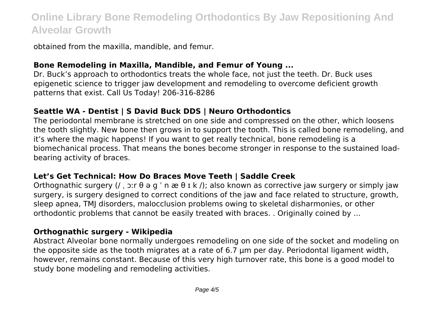obtained from the maxilla, mandible, and femur.

#### **Bone Remodeling in Maxilla, Mandible, and Femur of Young ...**

Dr. Buck's approach to orthodontics treats the whole face, not just the teeth. Dr. Buck uses epigenetic science to trigger jaw development and remodeling to overcome deficient growth patterns that exist. Call Us Today! 206-316-8286

### **Seattle WA - Dentist | S David Buck DDS | Neuro Orthodontics**

The periodontal membrane is stretched on one side and compressed on the other, which loosens the tooth slightly. New bone then grows in to support the tooth. This is called bone remodeling, and it's where the magic happens! If you want to get really technical, bone remodeling is a biomechanical process. That means the bones become stronger in response to the sustained loadbearing activity of braces.

#### **Let's Get Technical: How Do Braces Move Teeth | Saddle Creek**

Orthognathic surgery (/,  $\sin \theta$  a g ' n æ  $\theta$  I k /); also known as corrective jaw surgery or simply jaw surgery, is surgery designed to correct conditions of the jaw and face related to structure, growth, sleep apnea, TMJ disorders, malocclusion problems owing to skeletal disharmonies, or other orthodontic problems that cannot be easily treated with braces. . Originally coined by ...

#### **Orthognathic surgery - Wikipedia**

Abstract Alveolar bone normally undergoes remodeling on one side of the socket and modeling on the opposite side as the tooth migrates at a rate of 6.7 μm per day. Periodontal ligament width, however, remains constant. Because of this very high turnover rate, this bone is a good model to study bone modeling and remodeling activities.